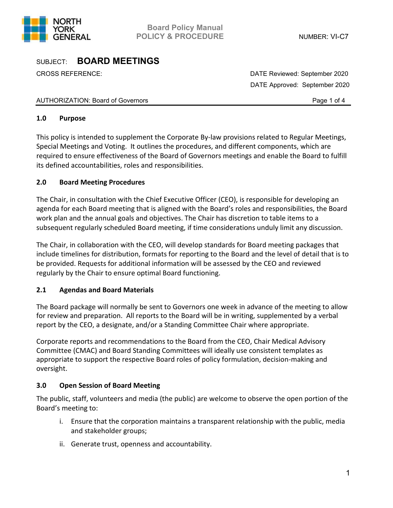

CROSS REFERENCE: DATE Reviewed: September 2020 DATE Approved: September 2020

## AUTHORIZATION: Board of Governors **Page 1** of 4

## **1.0 Purpose**

This policy is intended to supplement the Corporate By-law provisions related to Regular Meetings, Special Meetings and Voting. It outlines the procedures, and different components, which are required to ensure effectiveness of the Board of Governors meetings and enable the Board to fulfill its defined accountabilities, roles and responsibilities.

## **2.0 Board Meeting Procedures**

The Chair, in consultation with the Chief Executive Officer (CEO), is responsible for developing an agenda for each Board meeting that is aligned with the Board's roles and responsibilities, the Board work plan and the annual goals and objectives. The Chair has discretion to table items to a subsequent regularly scheduled Board meeting, if time considerations unduly limit any discussion.

The Chair, in collaboration with the CEO, will develop standards for Board meeting packages that include timelines for distribution, formats for reporting to the Board and the level of detail that is to be provided. Requests for additional information will be assessed by the CEO and reviewed regularly by the Chair to ensure optimal Board functioning.

## **2.1 Agendas and Board Materials**

The Board package will normally be sent to Governors one week in advance of the meeting to allow for review and preparation. All reports to the Board will be in writing, supplemented by a verbal report by the CEO, a designate, and/or a Standing Committee Chair where appropriate.

Corporate reports and recommendations to the Board from the CEO, Chair Medical Advisory Committee (CMAC) and Board Standing Committees will ideally use consistent templates as appropriate to support the respective Board roles of policy formulation, decision-making and oversight.

## **3.0 Open Session of Board Meeting**

The public, staff, volunteers and media (the public) are welcome to observe the open portion of the Board's meeting to:

- i. Ensure that the corporation maintains a transparent relationship with the public, media and stakeholder groups;
- ii. Generate trust, openness and accountability.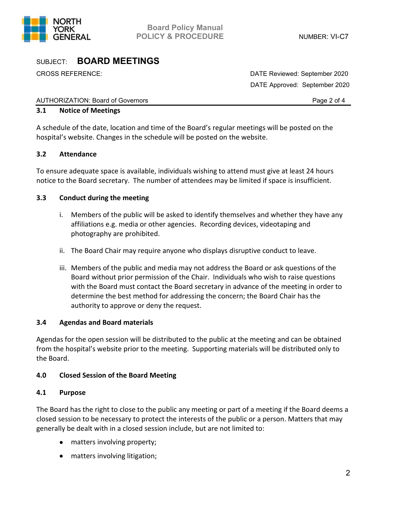

CROSS REFERENCE: DATE Reviewed: September 2020 DATE Approved: September 2020

#### AUTHORIZATION: Board of Governors **Page 2 of 4** and 2 of 4

### **3.1 Notice of Meetings**

A schedule of the date, location and time of the Board's regular meetings will be posted on the hospital's website. Changes in the schedule will be posted on the website.

## **3.2 Attendance**

To ensure adequate space is available, individuals wishing to attend must give at least 24 hours notice to the Board secretary. The number of attendees may be limited if space is insufficient.

## **3.3 Conduct during the meeting**

- i. Members of the public will be asked to identify themselves and whether they have any affiliations e.g. media or other agencies. Recording devices, videotaping and photography are prohibited.
- ii. The Board Chair may require anyone who displays disruptive conduct to leave.
- iii. Members of the public and media may not address the Board or ask questions of the Board without prior permission of the Chair. Individuals who wish to raise questions with the Board must contact the Board secretary in advance of the meeting in order to determine the best method for addressing the concern; the Board Chair has the authority to approve or deny the request.

## **3.4 Agendas and Board materials**

Agendas for the open session will be distributed to the public at the meeting and can be obtained from the hospital's website prior to the meeting. Supporting materials will be distributed only to the Board.

## **4.0 Closed Session of the Board Meeting**

#### **4.1 Purpose**

The Board has the right to close to the public any meeting or part of a meeting if the Board deems a closed session to be necessary to protect the interests of the public or a person. Matters that may generally be dealt with in a closed session include, but are not limited to:

- matters involving property;
- matters involving litigation;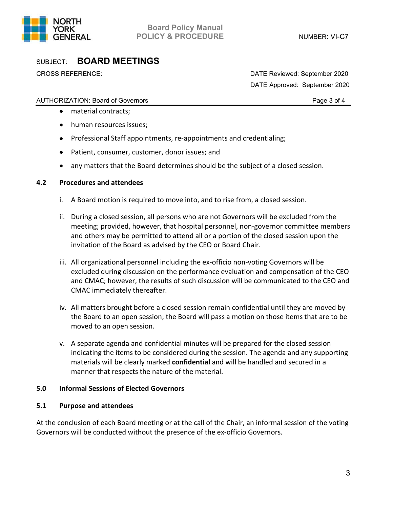

CROSS REFERENCE: DATE Reviewed: September 2020 DATE Approved: September 2020

## AUTHORIZATION: Board of Governors **Page 3 of 4** and 2 of 4

- material contracts;
- human resources issues;
- Professional Staff appointments, re-appointments and credentialing;
- Patient, consumer, customer, donor issues; and
- any matters that the Board determines should be the subject of a closed session.

## **4.2 Procedures and attendees**

- i. A Board motion is required to move into, and to rise from, a closed session.
- ii. During a closed session, all persons who are not Governors will be excluded from the meeting; provided, however, that hospital personnel, non-governor committee members and others may be permitted to attend all or a portion of the closed session upon the invitation of the Board as advised by the CEO or Board Chair.
- iii. All organizational personnel including the ex-officio non-voting Governors will be excluded during discussion on the performance evaluation and compensation of the CEO and CMAC; however, the results of such discussion will be communicated to the CEO and CMAC immediately thereafter.
- iv. All matters brought before a closed session remain confidential until they are moved by the Board to an open session; the Board will pass a motion on those items that are to be moved to an open session.
- v. A separate agenda and confidential minutes will be prepared for the closed session indicating the items to be considered during the session. The agenda and any supporting materials will be clearly marked **confidential** and will be handled and secured in a manner that respects the nature of the material.

## **5.0 Informal Sessions of Elected Governors**

## **5.1 Purpose and attendees**

At the conclusion of each Board meeting or at the call of the Chair, an informal session of the voting Governors will be conducted without the presence of the ex-officio Governors.